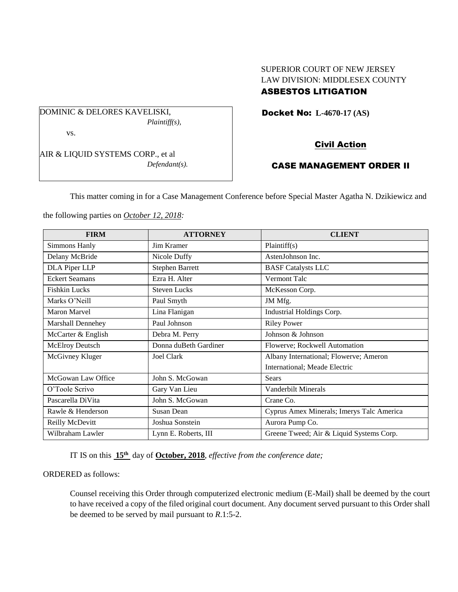# SUPERIOR COURT OF NEW JERSEY LAW DIVISION: MIDDLESEX COUNTY

## ASBESTOS LITIGATION

Docket No: **L-4670-17 (AS)** 

DOMINIC & DELORES KAVELISKI, *Plaintiff(s),* vs.

AIR & LIQUID SYSTEMS CORP., et al *Defendant(s).*

### Civil Action

## CASE MANAGEMENT ORDER II

This matter coming in for a Case Management Conference before Special Master Agatha N. Dzikiewicz and

the following parties on *October 12, 2018:*

| <b>FIRM</b>            | <b>ATTORNEY</b>        | <b>CLIENT</b>                             |  |
|------------------------|------------------------|-------------------------------------------|--|
| Simmons Hanly          | Jim Kramer             | Plaintiff(s)                              |  |
| Delany McBride         | Nicole Duffy           | AstenJohnson Inc.                         |  |
| DLA Piper LLP          | <b>Stephen Barrett</b> | <b>BASF Catalysts LLC</b>                 |  |
| <b>Eckert Seamans</b>  | Ezra H. Alter          | Vermont Talc                              |  |
| <b>Fishkin Lucks</b>   | <b>Steven Lucks</b>    | McKesson Corp.                            |  |
| Marks O'Neill          | Paul Smyth             | JM Mfg.                                   |  |
| <b>Maron Marvel</b>    | Lina Flanigan          | Industrial Holdings Corp.                 |  |
| Marshall Dennehey      | Paul Johnson           | <b>Riley Power</b>                        |  |
| McCarter & English     | Debra M. Perry         | Johnson & Johnson                         |  |
| <b>McElroy Deutsch</b> | Donna duBeth Gardiner  | Flowerve; Rockwell Automation             |  |
| McGivney Kluger        | Joel Clark             | Albany International; Flowerve; Ameron    |  |
|                        |                        | International; Meade Electric             |  |
| McGowan Law Office     | John S. McGowan        | <b>Sears</b>                              |  |
| O'Toole Scrivo         | Gary Van Lieu          | Vanderbilt Minerals                       |  |
| Pascarella DiVita      | John S. McGowan        | Crane Co.                                 |  |
| Rawle & Henderson      | Susan Dean             | Cyprus Amex Minerals; Imerys Talc America |  |
| Reilly McDevitt        | Joshua Sonstein        | Aurora Pump Co.                           |  |
| Wilbraham Lawler       | Lynn E. Roberts, III   | Greene Tweed; Air & Liquid Systems Corp.  |  |

IT IS on this **15th** day of **October, 2018**, *effective from the conference date;*

ORDERED as follows:

Counsel receiving this Order through computerized electronic medium (E-Mail) shall be deemed by the court to have received a copy of the filed original court document. Any document served pursuant to this Order shall be deemed to be served by mail pursuant to *R*.1:5-2.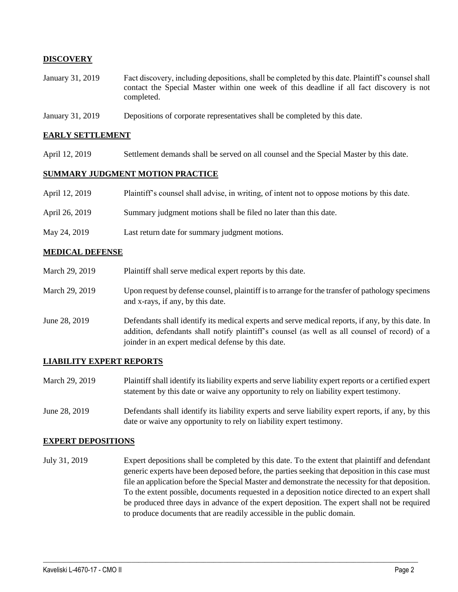### **DISCOVERY**

- January 31, 2019 Fact discovery, including depositions, shall be completed by this date. Plaintiff's counsel shall contact the Special Master within one week of this deadline if all fact discovery is not completed.
- January 31, 2019 Depositions of corporate representatives shall be completed by this date.

#### **EARLY SETTLEMENT**

April 12, 2019 Settlement demands shall be served on all counsel and the Special Master by this date.

#### **SUMMARY JUDGMENT MOTION PRACTICE**

| April 12, 2019 | Plaintiff's counsel shall advise, in writing, of intent not to oppose motions by this date. |  |  |
|----------------|---------------------------------------------------------------------------------------------|--|--|
|                |                                                                                             |  |  |

- April 26, 2019 Summary judgment motions shall be filed no later than this date.
- May 24, 2019 Last return date for summary judgment motions.

#### **MEDICAL DEFENSE**

- March 29, 2019 Plaintiff shall serve medical expert reports by this date. March 29, 2019 Upon request by defense counsel, plaintiff is to arrange for the transfer of pathology specimens and x-rays, if any, by this date.
- June 28, 2019 Defendants shall identify its medical experts and serve medical reports, if any, by this date. In addition, defendants shall notify plaintiff's counsel (as well as all counsel of record) of a joinder in an expert medical defense by this date.

### **LIABILITY EXPERT REPORTS**

- March 29, 2019 Plaintiff shall identify its liability experts and serve liability expert reports or a certified expert statement by this date or waive any opportunity to rely on liability expert testimony.
- June 28, 2019 Defendants shall identify its liability experts and serve liability expert reports, if any, by this date or waive any opportunity to rely on liability expert testimony.

#### **EXPERT DEPOSITIONS**

July 31, 2019 Expert depositions shall be completed by this date. To the extent that plaintiff and defendant generic experts have been deposed before, the parties seeking that deposition in this case must file an application before the Special Master and demonstrate the necessity for that deposition. To the extent possible, documents requested in a deposition notice directed to an expert shall be produced three days in advance of the expert deposition. The expert shall not be required to produce documents that are readily accessible in the public domain.

 $\_$  ,  $\_$  ,  $\_$  ,  $\_$  ,  $\_$  ,  $\_$  ,  $\_$  ,  $\_$  ,  $\_$  ,  $\_$  ,  $\_$  ,  $\_$  ,  $\_$  ,  $\_$  ,  $\_$  ,  $\_$  ,  $\_$  ,  $\_$  ,  $\_$  ,  $\_$  ,  $\_$  ,  $\_$  ,  $\_$  ,  $\_$  ,  $\_$  ,  $\_$  ,  $\_$  ,  $\_$  ,  $\_$  ,  $\_$  ,  $\_$  ,  $\_$  ,  $\_$  ,  $\_$  ,  $\_$  ,  $\_$  ,  $\_$  ,